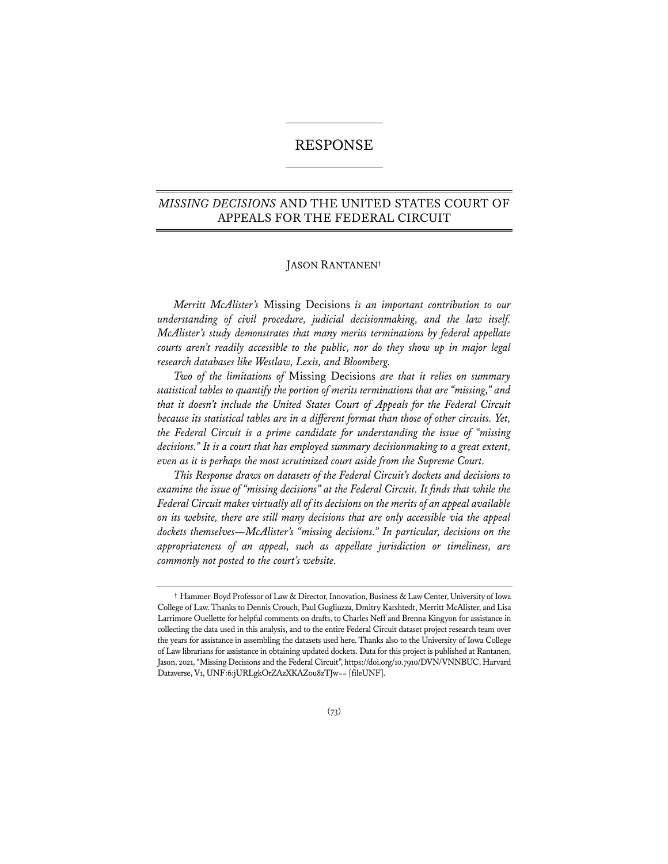# RESPONSE

# *MISSING DECISIONS* AND THE UNITED STATES COURT OF APPEALS FOR THE FEDERAL CIRCUIT

# JASON RANTANEN**†**

*Merritt McAlister's* Missing Decisions *is an important contribution to our understanding of civil procedure, judicial decisionmaking, and the law itself. McAlister's study demonstrates that many merits terminations by federal appellate courts aren't readily accessible to the public, nor do they show up in major legal research databases like Westlaw, Lexis, and Bloomberg.*

*Two of the limitations of* Missing Decisions *are that it relies on summary statistical tables to quantify the portion of merits terminations that are "missing," and that it doesn't include the United States Court of Appeals for the Federal Circuit because its statistical tables are in a different format than those of other circuits. Yet, the Federal Circuit is a prime candidate for understanding the issue of "missing decisions." It is a court that has employed summary decisionmaking to a great extent, even as it is perhaps the most scrutinized court aside from the Supreme Court.*

*This Response draws on datasets of the Federal Circuit's dockets and decisions to examine the issue of "missing decisions" at the Federal Circuit. It finds that while the Federal Circuit makes virtually all of its decisions on the merits of an appeal available on its website, there are still many decisions that are only accessible via the appeal dockets themselves—McAlister's "missing decisions." In particular, decisions on the appropriateness of an appeal, such as appellate jurisdiction or timeliness, are commonly not posted to the court's website.*

**<sup>†</sup>** Hammer-Boyd Professor of Law & Director, Innovation, Business & Law Center, University of Iowa College of Law. Thanks to Dennis Crouch, Paul Gugliuzza, Dmitry Karshtedt, Merritt McAlister, and Lisa Larrimore Ouellette for helpful comments on drafts, to Charles Neff and Brenna Kingyon for assistance in collecting the data used in this analysis, and to the entire Federal Circuit dataset project research team over the years for assistance in assembling the datasets used here. Thanks also to the University of Iowa College of Law librarians for assistance in obtaining updated dockets. Data for this project is published at Rantanen, Jason, 2021, "Missing Decisions and the Federal Circuit", https://doi.org/10.7910/DVN/VNNBUC, Harvard Dataverse, V1, UNF:6:jURLgkOrZAzXKAZou8zTJw== [fileUNF].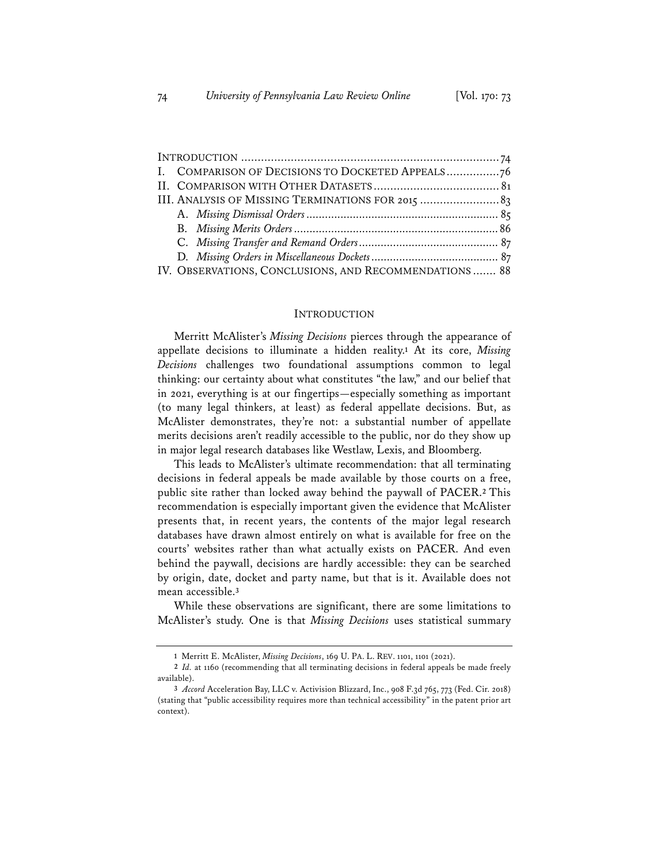| I. COMPARISON OF DECISIONS TO DOCKETED APPEALS76      |  |
|-------------------------------------------------------|--|
|                                                       |  |
| III. ANALYSIS OF MISSING TERMINATIONS FOR 2015  83    |  |
|                                                       |  |
|                                                       |  |
|                                                       |  |
|                                                       |  |
| IV. OBSERVATIONS, CONCLUSIONS, AND RECOMMENDATIONS 88 |  |

### INTRODUCTION

Merritt McAlister's *Missing Decisions* pierces through the appearance of appellate decisions to illuminate a hidden reality.**<sup>1</sup>** At its core, *Missing Decisions* challenges two foundational assumptions common to legal thinking: our certainty about what constitutes "the law," and our belief that in 2021, everything is at our fingertips—especially something as important (to many legal thinkers, at least) as federal appellate decisions. But, as McAlister demonstrates, they're not: a substantial number of appellate merits decisions aren't readily accessible to the public, nor do they show up in major legal research databases like Westlaw, Lexis, and Bloomberg.

This leads to McAlister's ultimate recommendation: that all terminating decisions in federal appeals be made available by those courts on a free, public site rather than locked away behind the paywall of PACER.**<sup>2</sup>** This recommendation is especially important given the evidence that McAlister presents that, in recent years, the contents of the major legal research databases have drawn almost entirely on what is available for free on the courts' websites rather than what actually exists on PACER. And even behind the paywall, decisions are hardly accessible: they can be searched by origin, date, docket and party name, but that is it. Available does not mean accessible.**<sup>3</sup>**

While these observations are significant, there are some limitations to McAlister's study. One is that *Missing Decisions* uses statistical summary

**<sup>1</sup>** Merritt E. McAlister, *Missing Decisions*, 169 U. PA. L. REV. 1101, 1101 (2021).

**<sup>2</sup>** *Id.* at 1160 (recommending that all terminating decisions in federal appeals be made freely available).

**<sup>3</sup>** *Accord* Acceleration Bay, LLC v. Activision Blizzard, Inc., 908 F.3d 765, 773 (Fed. Cir. 2018) (stating that "public accessibility requires more than technical accessibility" in the patent prior art context).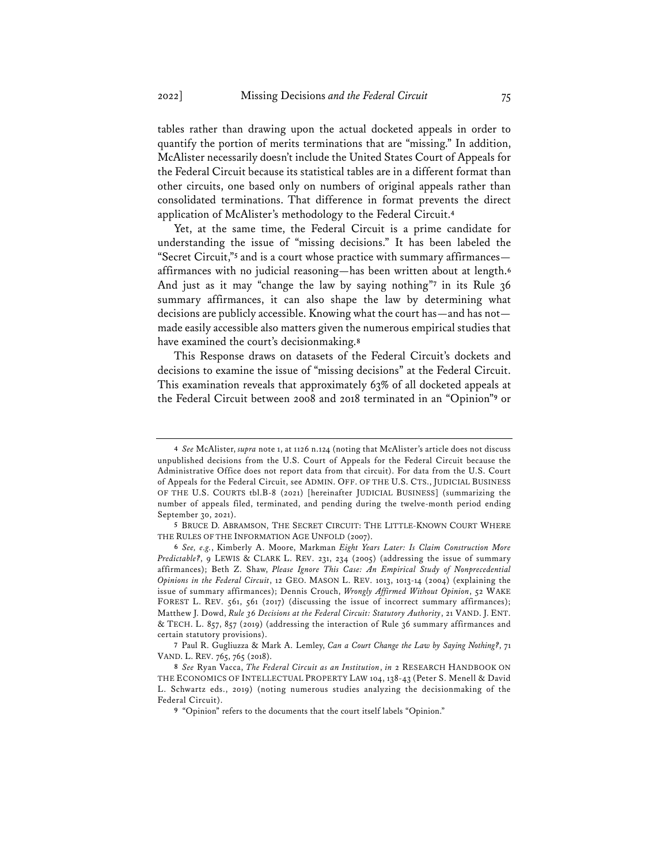tables rather than drawing upon the actual docketed appeals in order to quantify the portion of merits terminations that are "missing." In addition, McAlister necessarily doesn't include the United States Court of Appeals for the Federal Circuit because its statistical tables are in a different format than other circuits, one based only on numbers of original appeals rather than consolidated terminations. That difference in format prevents the direct application of McAlister's methodology to the Federal Circuit.**<sup>4</sup>**

Yet, at the same time, the Federal Circuit is a prime candidate for understanding the issue of "missing decisions." It has been labeled the "Secret Circuit,"**<sup>5</sup>** and is a court whose practice with summary affirmances affirmances with no judicial reasoning—has been written about at length.**<sup>6</sup>** And just as it may "change the law by saying nothing"**<sup>7</sup>** in its Rule 36 summary affirmances, it can also shape the law by determining what decisions are publicly accessible. Knowing what the court has—and has not made easily accessible also matters given the numerous empirical studies that have examined the court's decisionmaking.**<sup>8</sup>**

This Response draws on datasets of the Federal Circuit's dockets and decisions to examine the issue of "missing decisions" at the Federal Circuit. This examination reveals that approximately 63% of all docketed appeals at the Federal Circuit between 2008 and 2018 terminated in an "Opinion"**<sup>9</sup>** or

**<sup>4</sup>** *See* McAlister, *supra* note 1, at 1126 n.124 (noting that McAlister's article does not discuss unpublished decisions from the U.S. Court of Appeals for the Federal Circuit because the Administrative Office does not report data from that circuit). For data from the U.S. Court of Appeals for the Federal Circuit, see ADMIN. OFF. OF THE U.S. CTS., JUDICIAL BUSINESS OF THE U.S. COURTS tbl.B-8 (2021) [hereinafter JUDICIAL BUSINESS] (summarizing the number of appeals filed, terminated, and pending during the twelve-month period ending September 30, 2021).

**<sup>5</sup>** BRUCE D. ABRAMSON, THE SECRET CIRCUIT: THE LITTLE-KNOWN COURT WHERE THE RULES OF THE INFORMATION AGE UNFOLD (2007).

**<sup>6</sup>** *See, e.g.*, Kimberly A. Moore, Markman *Eight Years Later: Is Claim Construction More Predictable?*, 9 LEWIS & CLARK L. REV. 231, 234 (2005) (addressing the issue of summary affirmances); Beth Z. Shaw, *Please Ignore This Case: An Empirical Study of Nonprecedential Opinions in the Federal Circuit*, 12 GEO. MASON L. REV. 1013, 1013-14 (2004) (explaining the issue of summary affirmances); Dennis Crouch, *Wrongly Affirmed Without Opinion*, 52 WAKE FOREST L. REV. 561, 561 (2017) (discussing the issue of incorrect summary affirmances); Matthew J. Dowd, *Rule 36 Decisions at the Federal Circuit: Statutory Authority*, 21 VAND. J. ENT. & TECH. L. 857, 857 (2019) (addressing the interaction of Rule 36 summary affirmances and certain statutory provisions).

**<sup>7</sup>** Paul R. Gugliuzza & Mark A. Lemley, *Can a Court Change the Law by Saying Nothing?*, 71 VAND. L. REV. 765, 765 (2018).

**<sup>8</sup>** *See* Ryan Vacca, *The Federal Circuit as an Institution*, *in* 2 RESEARCH HANDBOOK ON THE ECONOMICS OF INTELLECTUAL PROPERTY LAW 104, 138-43 (Peter S. Menell & David L. Schwartz eds., 2019) (noting numerous studies analyzing the decisionmaking of the Federal Circuit).

**<sup>9</sup>** "Opinion" refers to the documents that the court itself labels "Opinion."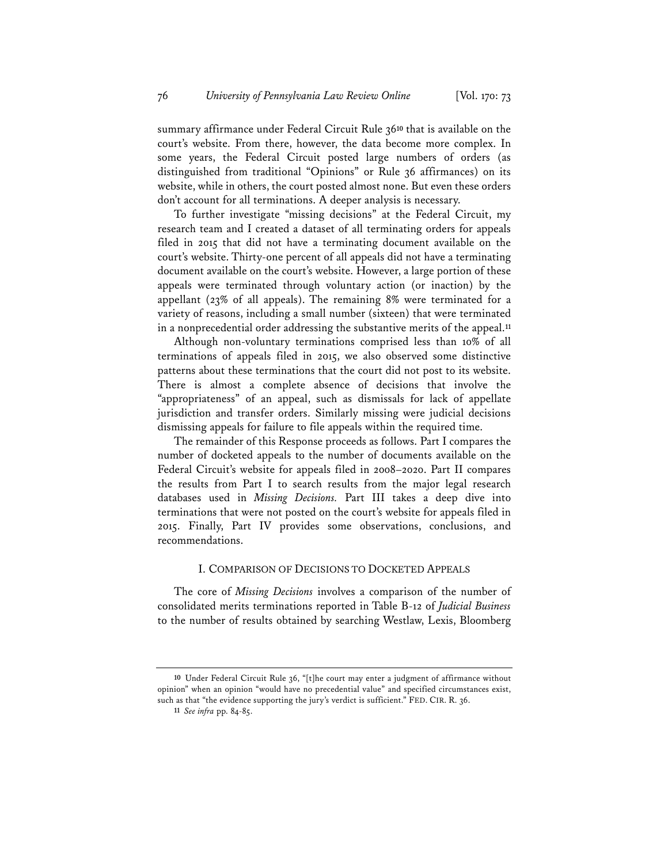summary affirmance under Federal Circuit Rule 36**<sup>10</sup>** that is available on the court's website. From there, however, the data become more complex. In some years, the Federal Circuit posted large numbers of orders (as distinguished from traditional "Opinions" or Rule 36 affirmances) on its website, while in others, the court posted almost none. But even these orders don't account for all terminations. A deeper analysis is necessary.

To further investigate "missing decisions" at the Federal Circuit, my research team and I created a dataset of all terminating orders for appeals filed in 2015 that did not have a terminating document available on the court's website. Thirty-one percent of all appeals did not have a terminating document available on the court's website. However, a large portion of these appeals were terminated through voluntary action (or inaction) by the appellant (23% of all appeals). The remaining 8% were terminated for a variety of reasons, including a small number (sixteen) that were terminated in a nonprecedential order addressing the substantive merits of the appeal.**<sup>11</sup>**

Although non-voluntary terminations comprised less than 10% of all terminations of appeals filed in 2015, we also observed some distinctive patterns about these terminations that the court did not post to its website. There is almost a complete absence of decisions that involve the "appropriateness" of an appeal, such as dismissals for lack of appellate jurisdiction and transfer orders. Similarly missing were judicial decisions dismissing appeals for failure to file appeals within the required time.

The remainder of this Response proceeds as follows. Part I compares the number of docketed appeals to the number of documents available on the Federal Circuit's website for appeals filed in 2008–2020. Part II compares the results from Part I to search results from the major legal research databases used in *Missing Decisions.* Part III takes a deep dive into terminations that were not posted on the court's website for appeals filed in 2015. Finally, Part IV provides some observations, conclusions, and recommendations.

# I. COMPARISON OF DECISIONS TO DOCKETED APPEALS

The core of *Missing Decisions* involves a comparison of the number of consolidated merits terminations reported in Table B-12 of *Judicial Business* to the number of results obtained by searching Westlaw, Lexis, Bloomberg

**<sup>10</sup>** Under Federal Circuit Rule 36, "[t]he court may enter a judgment of affirmance without opinion" when an opinion "would have no precedential value" and specified circumstances exist, such as that "the evidence supporting the jury's verdict is sufficient." FED. CIR. R. 36.

**<sup>11</sup>** *See infra* pp. 84-85.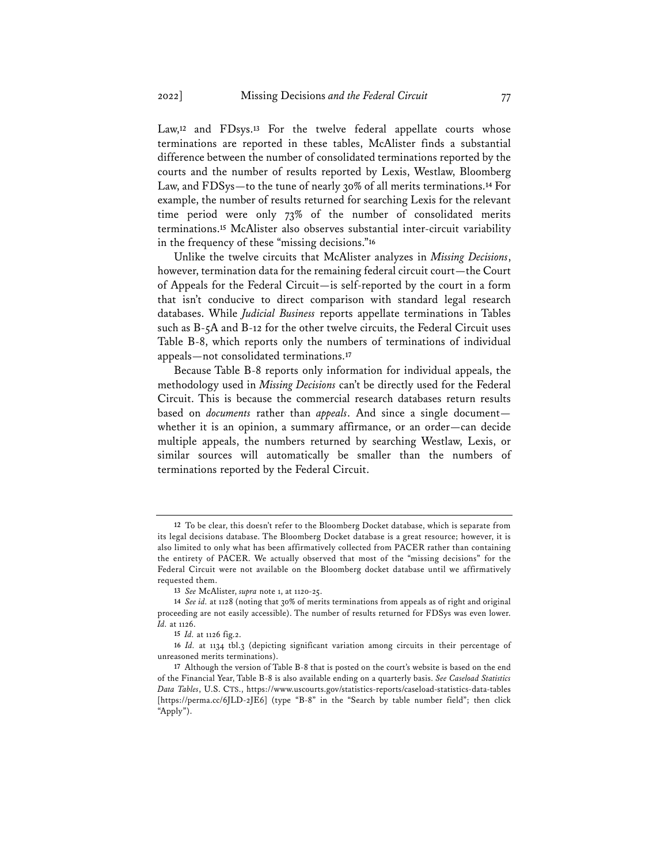Law,**<sup>12</sup>** and FDsys.**<sup>13</sup>** For the twelve federal appellate courts whose terminations are reported in these tables, McAlister finds a substantial difference between the number of consolidated terminations reported by the courts and the number of results reported by Lexis, Westlaw, Bloomberg Law, and FDSys—to the tune of nearly 30% of all merits terminations.**<sup>14</sup>** For example, the number of results returned for searching Lexis for the relevant time period were only 73% of the number of consolidated merits terminations.**<sup>15</sup>** McAlister also observes substantial inter-circuit variability in the frequency of these "missing decisions."**<sup>16</sup>**

Unlike the twelve circuits that McAlister analyzes in *Missing Decisions*, however, termination data for the remaining federal circuit court—the Court of Appeals for the Federal Circuit—is self-reported by the court in a form that isn't conducive to direct comparison with standard legal research databases. While *Judicial Business* reports appellate terminations in Tables such as B-5A and B-12 for the other twelve circuits, the Federal Circuit uses Table B-8, which reports only the numbers of terminations of individual appeals—not consolidated terminations.**<sup>17</sup>**

Because Table B-8 reports only information for individual appeals, the methodology used in *Missing Decisions* can't be directly used for the Federal Circuit. This is because the commercial research databases return results based on *documents* rather than *appeals*. And since a single document whether it is an opinion, a summary affirmance, or an order—can decide multiple appeals, the numbers returned by searching Westlaw, Lexis, or similar sources will automatically be smaller than the numbers of terminations reported by the Federal Circuit.

**<sup>12</sup>** To be clear, this doesn't refer to the Bloomberg Docket database, which is separate from its legal decisions database. The Bloomberg Docket database is a great resource; however, it is also limited to only what has been affirmatively collected from PACER rather than containing the entirety of PACER. We actually observed that most of the "missing decisions" for the Federal Circuit were not available on the Bloomberg docket database until we affirmatively requested them.

**<sup>13</sup>** *See* McAlister, *supra* note 1, at 1120-25.

**<sup>14</sup>** *See id.* at 1128 (noting that 30% of merits terminations from appeals as of right and original proceeding are not easily accessible). The number of results returned for FDSys was even lower. *Id.* at 1126.

**<sup>15</sup>** *Id.* at 1126 fig.2.

**<sup>16</sup>** *Id.* at 1134 tbl.3 (depicting significant variation among circuits in their percentage of unreasoned merits terminations).

**<sup>17</sup>** Although the version of Table B-8 that is posted on the court's website is based on the end of the Financial Year, Table B-8 is also available ending on a quarterly basis. *See Caseload Statistics Data Tables*, U.S. CTS., https://www.uscourts.gov/statistics-reports/caseload-statistics-data-tables [https://perma.cc/6JLD-2JE6] (type "B-8" in the "Search by table number field"; then click "Apply").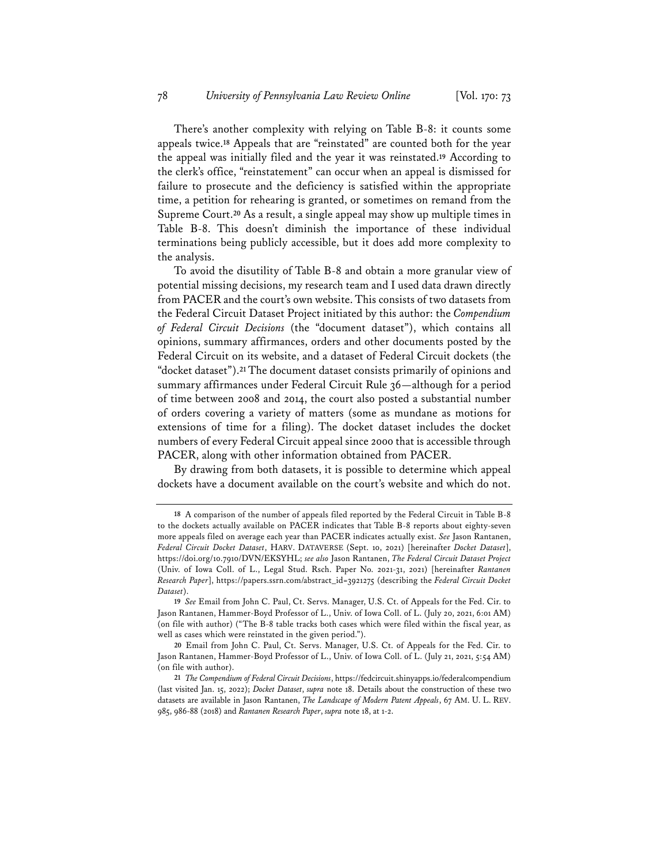There's another complexity with relying on Table B-8: it counts some appeals twice.**<sup>18</sup>** Appeals that are "reinstated" are counted both for the year the appeal was initially filed and the year it was reinstated.**<sup>19</sup>** According to the clerk's office, "reinstatement" can occur when an appeal is dismissed for failure to prosecute and the deficiency is satisfied within the appropriate time, a petition for rehearing is granted, or sometimes on remand from the Supreme Court.**<sup>20</sup>** As a result, a single appeal may show up multiple times in Table B-8. This doesn't diminish the importance of these individual terminations being publicly accessible, but it does add more complexity to the analysis.

To avoid the disutility of Table B-8 and obtain a more granular view of potential missing decisions, my research team and I used data drawn directly from PACER and the court's own website. This consists of two datasets from the Federal Circuit Dataset Project initiated by this author: the *Compendium of Federal Circuit Decisions* (the "document dataset"), which contains all opinions, summary affirmances, orders and other documents posted by the Federal Circuit on its website, and a dataset of Federal Circuit dockets (the "docket dataset").**<sup>21</sup>** The document dataset consists primarily of opinions and summary affirmances under Federal Circuit Rule 36—although for a period of time between 2008 and 2014, the court also posted a substantial number of orders covering a variety of matters (some as mundane as motions for extensions of time for a filing). The docket dataset includes the docket numbers of every Federal Circuit appeal since 2000 that is accessible through PACER, along with other information obtained from PACER.

By drawing from both datasets, it is possible to determine which appeal dockets have a document available on the court's website and which do not.

**<sup>18</sup>** A comparison of the number of appeals filed reported by the Federal Circuit in Table B-8 to the dockets actually available on PACER indicates that Table B-8 reports about eighty-seven more appeals filed on average each year than PACER indicates actually exist. *See* Jason Rantanen, *Federal Circuit Docket Dataset*, HARV. DATAVERSE (Sept. 10, 2021) [hereinafter *Docket Dataset*], https://doi.org/10.7910/DVN/EKSYHL; *see also* Jason Rantanen, *The Federal Circuit Dataset Project* (Univ. of Iowa Coll. of L., Legal Stud. Rsch. Paper No. 2021-31, 2021) [hereinafter *Rantanen Research Paper*], https://papers.ssrn.com/abstract\_id=3921275 (describing the *Federal Circuit Docket Dataset*).

**<sup>19</sup>** *See* Email from John C. Paul, Ct. Servs. Manager, U.S. Ct. of Appeals for the Fed. Cir. to Jason Rantanen, Hammer-Boyd Professor of L., Univ. of Iowa Coll. of L. (July 20, 2021, 6:01 AM) (on file with author) ("The B-8 table tracks both cases which were filed within the fiscal year, as well as cases which were reinstated in the given period.").

**<sup>20</sup>** Email from John C. Paul, Ct. Servs. Manager, U.S. Ct. of Appeals for the Fed. Cir. to Jason Rantanen, Hammer-Boyd Professor of L., Univ. of Iowa Coll. of L. (July 21, 2021, 5:54 AM) (on file with author).

**<sup>21</sup>** *The Compendium of Federal Circuit Decisions*, https://fedcircuit.shinyapps.io/federalcompendium (last visited Jan. 15, 2022); *Docket Dataset*, *supra* note 18. Details about the construction of these two datasets are available in Jason Rantanen, *The Landscape of Modern Patent Appeals*, 67 AM. U. L. REV. 985, 986-88 (2018) and *Rantanen Research Paper*, *supra* note 18, at 1-2.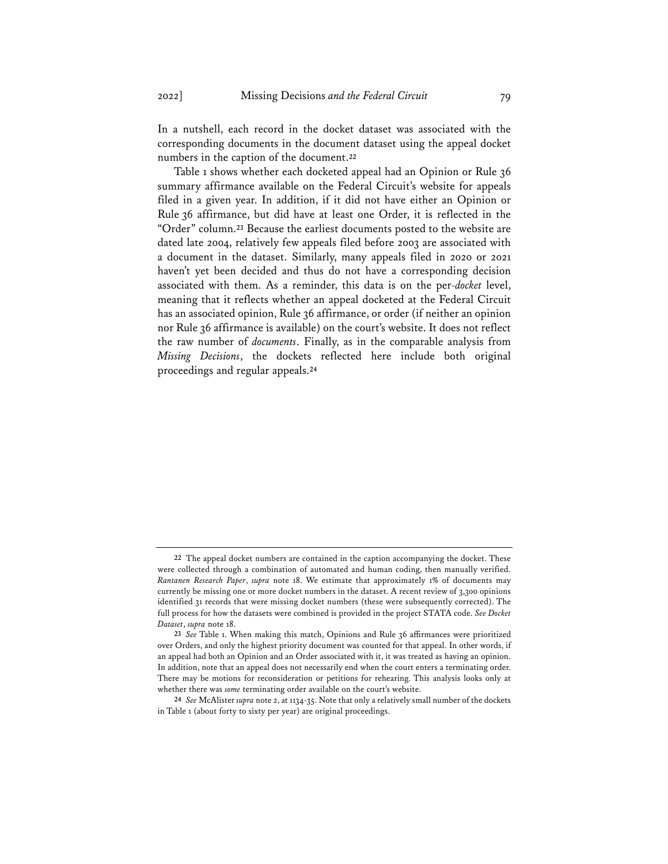In a nutshell, each record in the docket dataset was associated with the corresponding documents in the document dataset using the appeal docket numbers in the caption of the document.**<sup>22</sup>**

Table 1 shows whether each docketed appeal had an Opinion or Rule 36 summary affirmance available on the Federal Circuit's website for appeals filed in a given year. In addition, if it did not have either an Opinion or Rule 36 affirmance, but did have at least one Order, it is reflected in the "Order" column.**<sup>23</sup>** Because the earliest documents posted to the website are dated late 2004, relatively few appeals filed before 2003 are associated with a document in the dataset. Similarly, many appeals filed in 2020 or 2021 haven't yet been decided and thus do not have a corresponding decision associated with them. As a reminder, this data is on the per-*docket* level, meaning that it reflects whether an appeal docketed at the Federal Circuit has an associated opinion, Rule 36 affirmance, or order (if neither an opinion nor Rule 36 affirmance is available) on the court's website. It does not reflect the raw number of *documents*. Finally, as in the comparable analysis from *Missing Decisions*, the dockets reflected here include both original proceedings and regular appeals.**<sup>24</sup>**

**<sup>22</sup>** The appeal docket numbers are contained in the caption accompanying the docket. These were collected through a combination of automated and human coding, then manually verified. *Rantanen Research Paper*, *supra* note 18. We estimate that approximately 1% of documents may currently be missing one or more docket numbers in the dataset. A recent review of 3,300 opinions identified 31 records that were missing docket numbers (these were subsequently corrected). The full process for how the datasets were combined is provided in the project STATA code. *See Docket Dataset*, *supra* note 18.

**<sup>23</sup>** *See* Table 1. When making this match, Opinions and Rule 36 affirmances were prioritized over Orders, and only the highest priority document was counted for that appeal. In other words, if an appeal had both an Opinion and an Order associated with it, it was treated as having an opinion. In addition, note that an appeal does not necessarily end when the court enters a terminating order. There may be motions for reconsideration or petitions for rehearing. This analysis looks only at whether there was *some* terminating order available on the court's website.

**<sup>24</sup>** *See* McAlister *supra* note 2, at 1134-35. Note that only a relatively small number of the dockets in Table 1 (about forty to sixty per year) are original proceedings.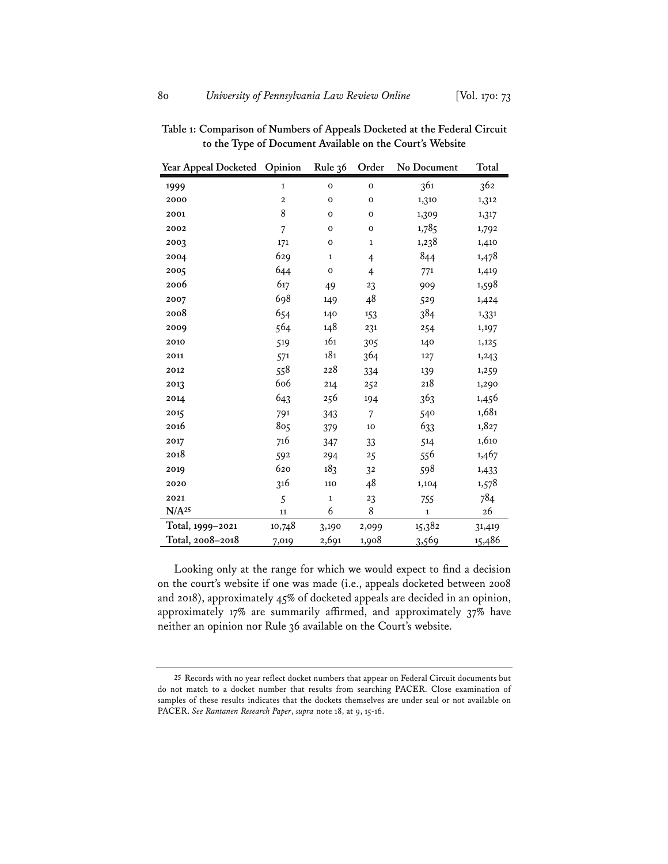| Year Appeal Docketed | Opinion        | Rule 36     | Order          | No Document | Total  |
|----------------------|----------------|-------------|----------------|-------------|--------|
| 1999                 | $\mathbf{1}$   | $\mathbf 0$ | $\mathbf 0$    | 361         | 362    |
| 2000                 | $\mathbf 2$    | $\mathbf 0$ | 0              | 1,310       | 1,312  |
| 2001                 | 8              | $\mathbf 0$ | 0              | 1,309       | 1,317  |
| 2002                 | $\overline{7}$ | $\mathbf 0$ | 0              | 1,785       | 1,792  |
| 2003                 | 171            | $\mathbf 0$ | $\mathbf{1}$   | 1,238       | 1,410  |
| 2004                 | 629            | $\mathbf 1$ | $\overline{4}$ | 844         | 1,478  |
| 2005                 | 644            | $\mathbf 0$ | $\overline{4}$ | 771         | 1,419  |
| 2006                 | 617            | 49          | 23             | 909         | 1,598  |
| 2007                 | 698            | 149         | 48             | 529         | 1,424  |
| 2008                 | 654            | 140         | 153            | 384         | 1,331  |
| 2009                 | 564            | 148         | 231            | 254         | 1,197  |
| 2010                 | 519            | 161         | 305            | 140         | 1,125  |
| 2011                 | 571            | 181         | 364            | 127         | 1,243  |
| 2012                 | 558            | 228         | 334            | 139         | 1,259  |
| 2013                 | 606            | 214         | 252            | 218         | 1,290  |
| 2014                 | 643            | 256         | 194            | 363         | 1,456  |
| 2015                 | 791            | 343         | $\overline{7}$ | 540         | 1,681  |
| 2016                 | 805            | 379         | 10             | 633         | 1,827  |
| 2017                 | 716            | 347         | 33             | 514         | 1,610  |
| 2018                 | 592            | 294         | 25             | 556         | 1,467  |
| 2019                 | 620            | 183         | 32             | 598         | 1,433  |
| 2020                 | 316            | 110         | 48             | 1,104       | 1,578  |
| 2021                 | 5              | $\mathbf 1$ | 23             | 755         | 784    |
| N/A <sup>25</sup>    | 11             | 6           | 8              | $\mathbf 1$ | 26     |
| Total, 1999-2021     | 10,748         | 3,190       | 2,099          | 15,382      | 31,419 |
| Total, 2008-2018     | 7,019          | 2,691       | 1,908          | 3,569       | 15,486 |

**Table 1: Comparison of Numbers of Appeals Docketed at the Federal Circuit to the Type of Document Available on the Court***'***s Website**

Looking only at the range for which we would expect to find a decision on the court's website if one was made (i.e., appeals docketed between 2008 and 2018), approximately 45% of docketed appeals are decided in an opinion, approximately 17% are summarily affirmed, and approximately 37% have neither an opinion nor Rule 36 available on the Court's website.

 Records with no year reflect docket numbers that appear on Federal Circuit documents but do not match to a docket number that results from searching PACER. Close examination of samples of these results indicates that the dockets themselves are under seal or not available on PACER. *See Rantanen Research Paper*, *supra* note 18, at 9, 15-16.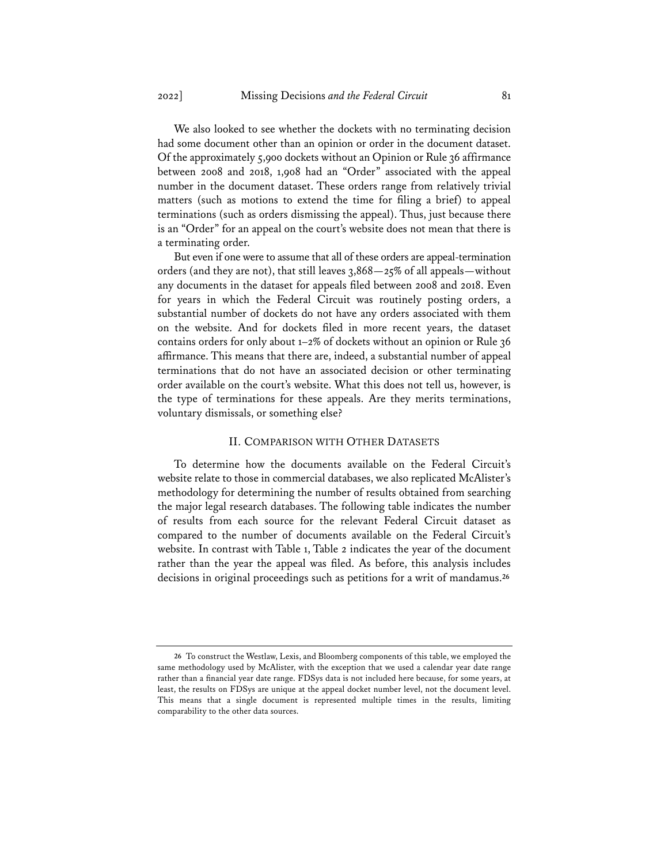We also looked to see whether the dockets with no terminating decision had some document other than an opinion or order in the document dataset. Of the approximately 5,900 dockets without an Opinion or Rule 36 affirmance between 2008 and 2018, 1,908 had an "Order" associated with the appeal number in the document dataset. These orders range from relatively trivial matters (such as motions to extend the time for filing a brief) to appeal terminations (such as orders dismissing the appeal). Thus, just because there is an "Order" for an appeal on the court's website does not mean that there is a terminating order.

But even if one were to assume that all of these orders are appeal-termination orders (and they are not), that still leaves  $3,868 - 25\%$  of all appeals—without any documents in the dataset for appeals filed between 2008 and 2018. Even for years in which the Federal Circuit was routinely posting orders, a substantial number of dockets do not have any orders associated with them on the website. And for dockets filed in more recent years, the dataset contains orders for only about 1–2% of dockets without an opinion or Rule 36 affirmance. This means that there are, indeed, a substantial number of appeal terminations that do not have an associated decision or other terminating order available on the court's website. What this does not tell us, however, is the type of terminations for these appeals. Are they merits terminations, voluntary dismissals, or something else?

# II. COMPARISON WITH OTHER DATASETS

To determine how the documents available on the Federal Circuit's website relate to those in commercial databases, we also replicated McAlister's methodology for determining the number of results obtained from searching the major legal research databases. The following table indicates the number of results from each source for the relevant Federal Circuit dataset as compared to the number of documents available on the Federal Circuit's website. In contrast with Table 1, Table 2 indicates the year of the document rather than the year the appeal was filed. As before, this analysis includes decisions in original proceedings such as petitions for a writ of mandamus.**<sup>26</sup>**

**<sup>26</sup>** To construct the Westlaw, Lexis, and Bloomberg components of this table, we employed the same methodology used by McAlister, with the exception that we used a calendar year date range rather than a financial year date range. FDSys data is not included here because, for some years, at least, the results on FDSys are unique at the appeal docket number level, not the document level. This means that a single document is represented multiple times in the results, limiting comparability to the other data sources.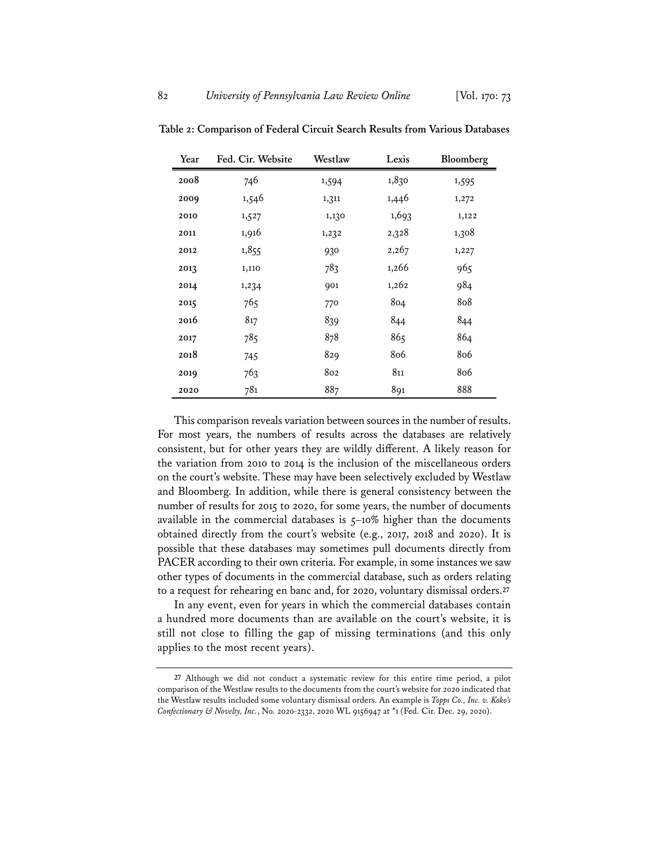| Year | Fed. Cir. Website | Westlaw | Lexis | Bloomberg |
|------|-------------------|---------|-------|-----------|
| 2008 | 746               | 1,594   | 1,830 | 1,595     |
| 2009 | 1,546             | 1,311   | 1,446 | 1,272     |
| 2010 | 1,527             | 1,130   | 1,693 | 1,122     |
| 2011 | 1,916             | 1,232   | 2,328 | 1,308     |
| 2012 | 1,855             | 930     | 2,267 | 1,227     |
| 2013 | 1,110             | 783     | 1,266 | 965       |
| 2014 | 1,234             | 901     | 1,262 | 984       |
| 2015 | 765               | 770     | 804   | 808       |
| 2016 | 817               | 839     | 844   | 844       |
| 2017 | 785               | 878     | 865   | 864       |
| 2018 | 745               | 829     | 806   | 806       |
| 2019 | 763               | 802     | 811   | 806       |
| 2020 | 781               | 887     | 891   | 888       |

**Table 2: Comparison of Federal Circuit Search Results from Various Databases**

This comparison reveals variation between sources in the number of results. For most years, the numbers of results across the databases are relatively consistent, but for other years they are wildly different. A likely reason for the variation from 2010 to 2014 is the inclusion of the miscellaneous orders on the court's website. These may have been selectively excluded by Westlaw and Bloomberg. In addition, while there is general consistency between the number of results for 2015 to 2020, for some years, the number of documents available in the commercial databases is 5–10% higher than the documents obtained directly from the court's website (e.g., 2017, 2018 and 2020). It is possible that these databases may sometimes pull documents directly from PACER according to their own criteria. For example, in some instances we saw other types of documents in the commercial database, such as orders relating to a request for rehearing en banc and, for 2020, voluntary dismissal orders.**<sup>27</sup>**

In any event, even for years in which the commercial databases contain a hundred more documents than are available on the court's website, it is still not close to filling the gap of missing terminations (and this only applies to the most recent years).

**<sup>27</sup>** Although we did not conduct a systematic review for this entire time period, a pilot comparison of the Westlaw results to the documents from the court's website for 2020 indicated that the Westlaw results included some voluntary dismissal orders. An example is *Topps Co., Inc. v. Koko's Confectionary & Novelty, Inc.*, No. 2020-2332, 2020 WL 9156947 at \*1 (Fed. Cir. Dec. 29, 2020).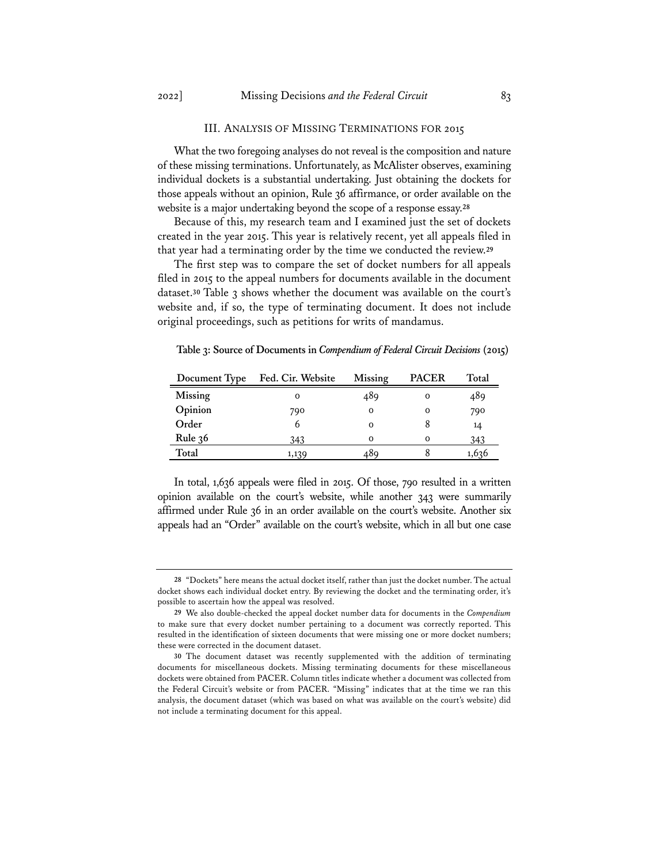#### III. ANALYSIS OF MISSING TERMINATIONS FOR 2015

What the two foregoing analyses do not reveal is the composition and nature of these missing terminations. Unfortunately, as McAlister observes, examining individual dockets is a substantial undertaking. Just obtaining the dockets for those appeals without an opinion, Rule 36 affirmance, or order available on the website is a major undertaking beyond the scope of a response essay.**<sup>28</sup>**

Because of this, my research team and I examined just the set of dockets created in the year 2015. This year is relatively recent, yet all appeals filed in that year had a terminating order by the time we conducted the review.**<sup>29</sup>**

The first step was to compare the set of docket numbers for all appeals filed in 2015 to the appeal numbers for documents available in the document dataset.**<sup>30</sup>** Table 3 shows whether the document was available on the court's website and, if so, the type of terminating document. It does not include original proceedings, such as petitions for writs of mandamus.

**Table 3: Source of Documents in** *Compendium of Federal Circuit Decisions* **(2015)**

| Document Type | Fed. Cir. Website | Missing | <b>PACER</b> | Total |
|---------------|-------------------|---------|--------------|-------|
| Missing       | Ω                 | 489     | 0            | 489   |
| Opinion       | 790               | Ω       | 0            | 790   |
| Order         |                   | Ω       | 8            | 14    |
| Rule $36$     | 343               | 0       | $\Omega$     | 343   |
| Total         | 1,139             | 489     |              | 1,636 |

In total, 1,636 appeals were filed in 2015. Of those, 790 resulted in a written opinion available on the court's website, while another 343 were summarily affirmed under Rule 36 in an order available on the court's website. Another six appeals had an "Order" available on the court's website, which in all but one case

**<sup>28</sup>** "Dockets" here means the actual docket itself, rather than just the docket number. The actual docket shows each individual docket entry. By reviewing the docket and the terminating order, it's possible to ascertain how the appeal was resolved.

**<sup>29</sup>** We also double-checked the appeal docket number data for documents in the *Compendium* to make sure that every docket number pertaining to a document was correctly reported. This resulted in the identification of sixteen documents that were missing one or more docket numbers; these were corrected in the document dataset.

**<sup>30</sup>** The document dataset was recently supplemented with the addition of terminating documents for miscellaneous dockets. Missing terminating documents for these miscellaneous dockets were obtained from PACER. Column titles indicate whether a document was collected from the Federal Circuit's website or from PACER. "Missing" indicates that at the time we ran this analysis, the document dataset (which was based on what was available on the court's website) did not include a terminating document for this appeal.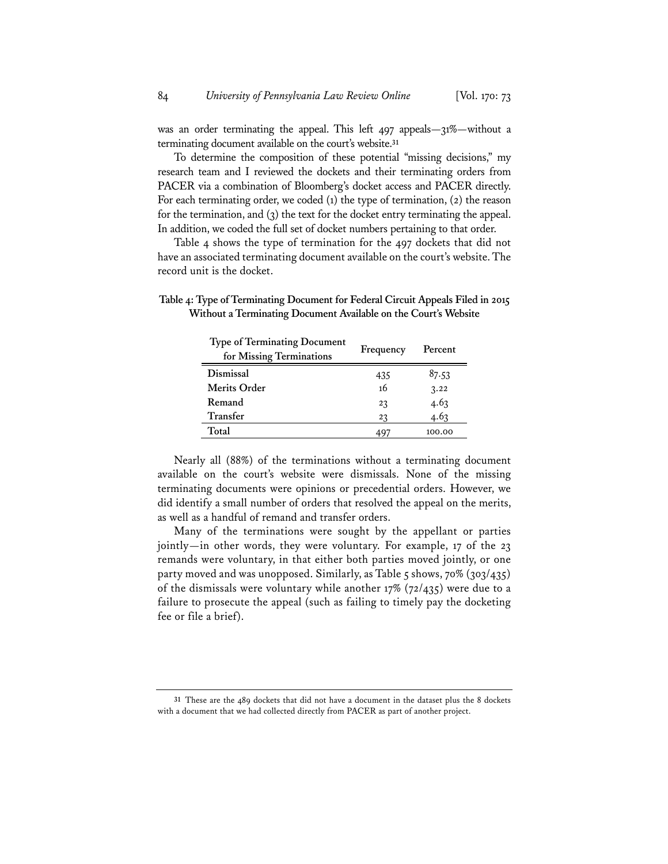was an order terminating the appeal. This left 497 appeals—31%—without a terminating document available on the court's website.**<sup>31</sup>**

To determine the composition of these potential "missing decisions," my research team and I reviewed the dockets and their terminating orders from PACER via a combination of Bloomberg's docket access and PACER directly. For each terminating order, we coded (1) the type of termination, (2) the reason for the termination, and (3) the text for the docket entry terminating the appeal. In addition, we coded the full set of docket numbers pertaining to that order.

Table 4 shows the type of termination for the 497 dockets that did not have an associated terminating document available on the court's website. The record unit is the docket.

**Table 4: Type of Terminating Document for Federal Circuit Appeals Filed in 2015 Without a Terminating Document Available on the Court***'***s Website**

| <b>Type of Terminating Document</b><br>for Missing Terminations | Frequency | Percent |
|-----------------------------------------------------------------|-----------|---------|
| Dismissal                                                       | 435       | 87.53   |
| Merits Order                                                    | 16        | 3.22    |
| Remand                                                          | 23        | 4.63    |
| Transfer                                                        | 23        | 4.63    |
| Total                                                           |           | 100.00  |

Nearly all (88%) of the terminations without a terminating document available on the court's website were dismissals. None of the missing terminating documents were opinions or precedential orders. However, we did identify a small number of orders that resolved the appeal on the merits, as well as a handful of remand and transfer orders.

Many of the terminations were sought by the appellant or parties jointly—in other words, they were voluntary. For example, 17 of the 23 remands were voluntary, in that either both parties moved jointly, or one party moved and was unopposed. Similarly, as Table 5 shows, 70% (303/435) of the dismissals were voluntary while another 17% (72/435) were due to a failure to prosecute the appeal (such as failing to timely pay the docketing fee or file a brief).

**31** These are the 489 dockets that did not have a document in the dataset plus the 8 dockets with a document that we had collected directly from PACER as part of another project.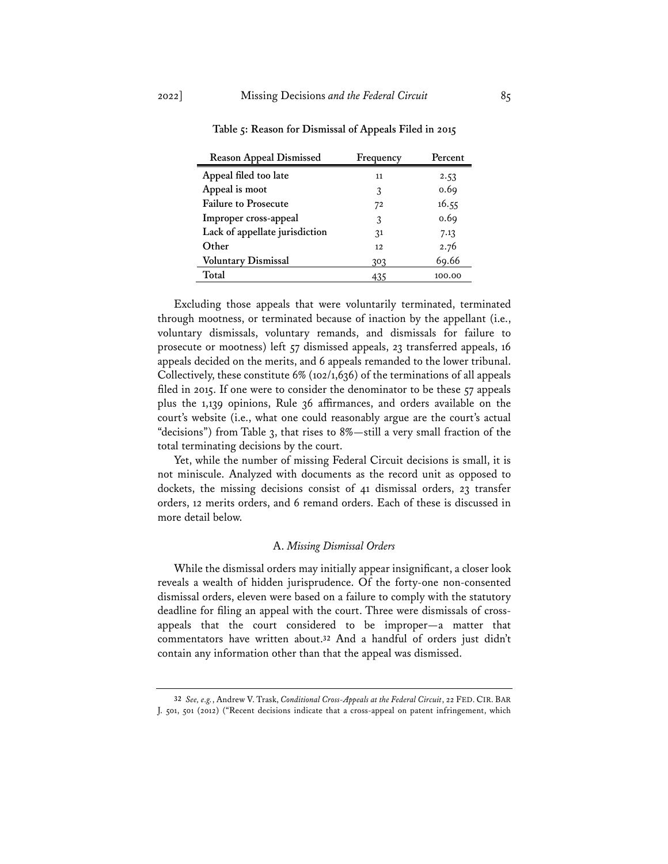| <b>Reason Appeal Dismissed</b> | Frequency | Percent |
|--------------------------------|-----------|---------|
| Appeal filed too late          | 11        | 2.53    |
| Appeal is moot                 | 3         | 0.69    |
| <b>Failure to Prosecute</b>    | 72        | 16.55   |
| Improper cross-appeal          | 3         | 0.69    |
| Lack of appellate jurisdiction | 31        | 7.13    |
| Other                          | 12        | 2.76    |
| <b>Voluntary Dismissal</b>     | 303       | 69.66   |
| Total                          | 435       | 100.00  |

**Table 5: Reason for Dismissal of Appeals Filed in 2015**

Excluding those appeals that were voluntarily terminated, terminated through mootness, or terminated because of inaction by the appellant (i.e., voluntary dismissals, voluntary remands, and dismissals for failure to prosecute or mootness) left 57 dismissed appeals, 23 transferred appeals, 16 appeals decided on the merits, and 6 appeals remanded to the lower tribunal. Collectively, these constitute 6% (102/1,636) of the terminations of all appeals filed in 2015. If one were to consider the denominator to be these 57 appeals plus the 1,139 opinions, Rule 36 affirmances, and orders available on the court's website (i.e., what one could reasonably argue are the court's actual "decisions") from Table 3, that rises to 8%—still a very small fraction of the total terminating decisions by the court.

Yet, while the number of missing Federal Circuit decisions is small, it is not miniscule. Analyzed with documents as the record unit as opposed to dockets, the missing decisions consist of 41 dismissal orders, 23 transfer orders, 12 merits orders, and 6 remand orders. Each of these is discussed in more detail below.

### A. *Missing Dismissal Orders*

While the dismissal orders may initially appear insignificant, a closer look reveals a wealth of hidden jurisprudence. Of the forty-one non-consented dismissal orders, eleven were based on a failure to comply with the statutory deadline for filing an appeal with the court. Three were dismissals of crossappeals that the court considered to be improper—a matter that commentators have written about.**<sup>32</sup>** And a handful of orders just didn't contain any information other than that the appeal was dismissed.

**<sup>32</sup>** *See, e.g.*, Andrew V. Trask, *Conditional Cross-Appeals at the Federal Circuit*, 22 FED. CIR. BAR J. 501, 501 (2012) ("Recent decisions indicate that a cross-appeal on patent infringement, which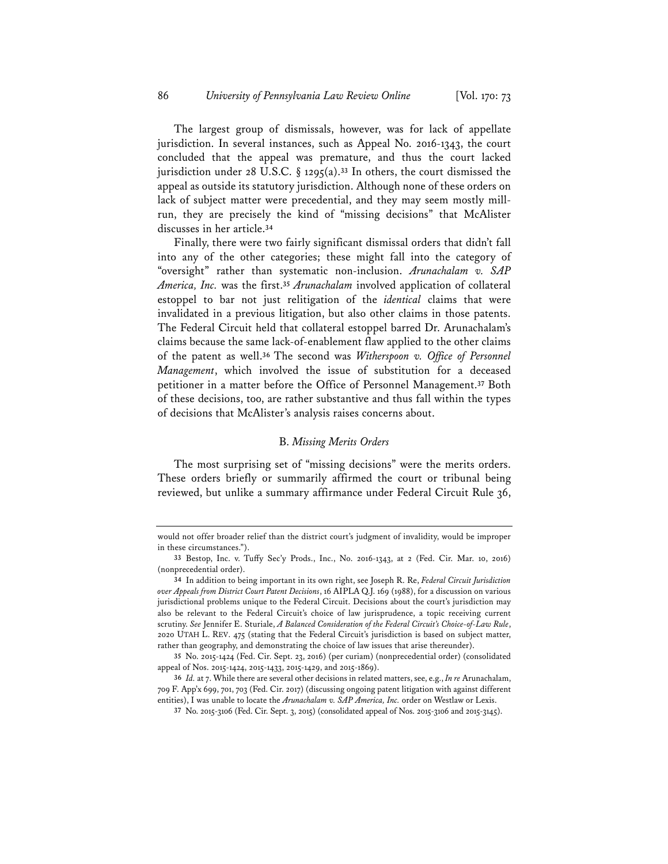The largest group of dismissals, however, was for lack of appellate jurisdiction. In several instances, such as Appeal No. 2016-1343, the court concluded that the appeal was premature, and thus the court lacked jurisdiction under 28 U.S.C.  $\S$  1295(a).<sup>33</sup> In others, the court dismissed the appeal as outside its statutory jurisdiction. Although none of these orders on lack of subject matter were precedential, and they may seem mostly millrun, they are precisely the kind of "missing decisions" that McAlister discusses in her article.**<sup>34</sup>**

Finally, there were two fairly significant dismissal orders that didn't fall into any of the other categories; these might fall into the category of "oversight" rather than systematic non-inclusion. *Arunachalam v. SAP America, Inc.* was the first.**<sup>35</sup>** *Arunachalam* involved application of collateral estoppel to bar not just relitigation of the *identical* claims that were invalidated in a previous litigation, but also other claims in those patents. The Federal Circuit held that collateral estoppel barred Dr. Arunachalam's claims because the same lack-of-enablement flaw applied to the other claims of the patent as well.**<sup>36</sup>** The second was *Witherspoon v. Office of Personnel Management*, which involved the issue of substitution for a deceased petitioner in a matter before the Office of Personnel Management.**<sup>37</sup>** Both of these decisions, too, are rather substantive and thus fall within the types of decisions that McAlister's analysis raises concerns about.

# B. *Missing Merits Orders*

The most surprising set of "missing decisions" were the merits orders. These orders briefly or summarily affirmed the court or tribunal being reviewed, but unlike a summary affirmance under Federal Circuit Rule 36,

would not offer broader relief than the district court's judgment of invalidity, would be improper in these circumstances.").

**<sup>33</sup>** Bestop, Inc. v. Tuffy Sec'y Prods., Inc., No. 2016-1343, at 2 (Fed. Cir. Mar. 10, 2016) (nonprecedential order).

**<sup>34</sup>** In addition to being important in its own right, see Joseph R. Re, *Federal Circuit Jurisdiction over Appeals from District Court Patent Decisions*, 16 AIPLA Q.J. 169 (1988), for a discussion on various jurisdictional problems unique to the Federal Circuit. Decisions about the court's jurisdiction may also be relevant to the Federal Circuit's choice of law jurisprudence, a topic receiving current scrutiny. *See* Jennifer E. Sturiale, *A Balanced Consideration of the Federal Circuit's Choice-of-Law Rule*, 2020 UTAH L. REV. 475 (stating that the Federal Circuit's jurisdiction is based on subject matter, rather than geography, and demonstrating the choice of law issues that arise thereunder).

**<sup>35</sup>** No. 2015-1424 (Fed. Cir. Sept. 23, 2016) (per curiam) (nonprecedential order) (consolidated appeal of Nos. 2015-1424, 2015-1433, 2015-1429, and 2015-1869).

**<sup>36</sup>** *Id.* at 7. While there are several other decisions in related matters, see, e.g., *In re* Arunachalam, 709 F. App'x 699, 701, 703 (Fed. Cir. 2017) (discussing ongoing patent litigation with against different entities), I was unable to locate the *Arunachalam v. SAP America, Inc.* order on Westlaw or Lexis.

**<sup>37</sup>** No. 2015-3106 (Fed. Cir. Sept. 3, 2015) (consolidated appeal of Nos. 2015-3106 and 2015-3145).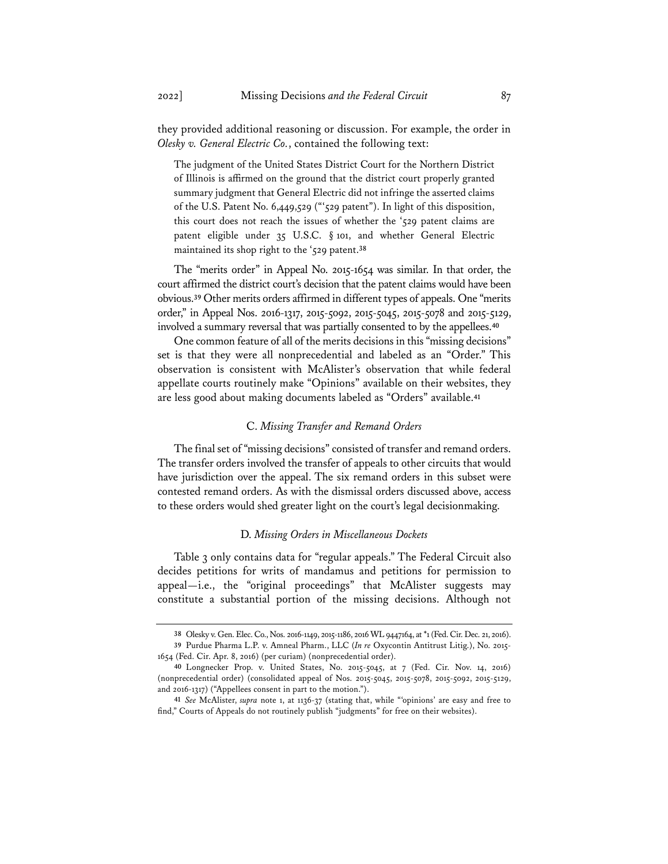they provided additional reasoning or discussion. For example, the order in *Olesky v. General Electric Co.*, contained the following text:

The judgment of the United States District Court for the Northern District of Illinois is affirmed on the ground that the district court properly granted summary judgment that General Electric did not infringe the asserted claims of the U.S. Patent No. 6,449,529 ("'529 patent"). In light of this disposition, this court does not reach the issues of whether the '529 patent claims are patent eligible under 35 U.S.C. § 101, and whether General Electric maintained its shop right to the '529 patent.**<sup>38</sup>**

The "merits order" in Appeal No. 2015-1654 was similar. In that order, the court affirmed the district court's decision that the patent claims would have been obvious.**<sup>39</sup>** Other merits orders affirmed in different types of appeals. One "merits order," in Appeal Nos. 2016-1317, 2015-5092, 2015-5045, 2015-5078 and 2015-5129, involved a summary reversal that was partially consented to by the appellees.**<sup>40</sup>**

One common feature of all of the merits decisions in this "missing decisions" set is that they were all nonprecedential and labeled as an "Order." This observation is consistent with McAlister's observation that while federal appellate courts routinely make "Opinions" available on their websites, they are less good about making documents labeled as "Orders" available.**<sup>41</sup>**

# C. *Missing Transfer and Remand Orders*

The final set of "missing decisions" consisted of transfer and remand orders. The transfer orders involved the transfer of appeals to other circuits that would have jurisdiction over the appeal. The six remand orders in this subset were contested remand orders. As with the dismissal orders discussed above, access to these orders would shed greater light on the court's legal decisionmaking.

# D. *Missing Orders in Miscellaneous Dockets*

Table 3 only contains data for "regular appeals." The Federal Circuit also decides petitions for writs of mandamus and petitions for permission to appeal—i.e., the "original proceedings" that McAlister suggests may constitute a substantial portion of the missing decisions. Although not

**<sup>38</sup>** Olesky v. Gen. Elec. Co., Nos. 2016-1149, 2015-1186, 2016 WL 9447164, at \*1 (Fed. Cir. Dec. 21, 2016). **39** Purdue Pharma L.P. v. Amneal Pharm., LLC (*In re* Oxycontin Antitrust Litig.), No. 2015- 1654 (Fed. Cir. Apr. 8, 2016) (per curiam) (nonprecedential order).

**<sup>40</sup>** Longnecker Prop. v. United States, No. 2015-5045, at 7 (Fed. Cir. Nov. 14, 2016) (nonprecedential order) (consolidated appeal of Nos. 2015-5045, 2015-5078, 2015-5092, 2015-5129, and 2016-1317) ("Appellees consent in part to the motion.").

**<sup>41</sup>** *See* McAlister, *supra* note 1, at 1136-37 (stating that, while "'opinions' are easy and free to find," Courts of Appeals do not routinely publish "judgments" for free on their websites).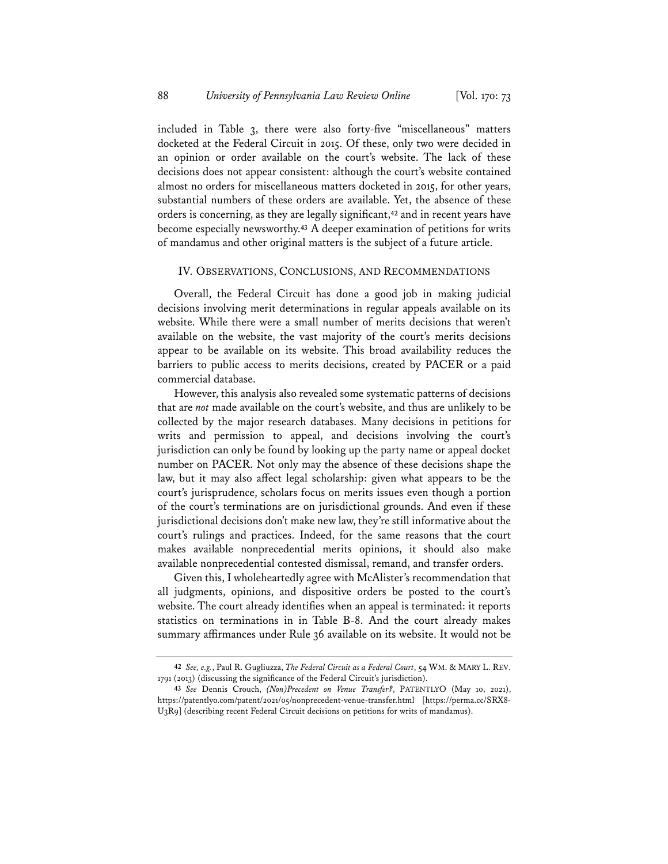included in Table 3, there were also forty-five "miscellaneous" matters docketed at the Federal Circuit in 2015. Of these, only two were decided in an opinion or order available on the court's website. The lack of these decisions does not appear consistent: although the court's website contained almost no orders for miscellaneous matters docketed in 2015, for other years, substantial numbers of these orders are available. Yet, the absence of these orders is concerning, as they are legally significant,**<sup>42</sup>** and in recent years have become especially newsworthy.**<sup>43</sup>** A deeper examination of petitions for writs of mandamus and other original matters is the subject of a future article.

### IV. OBSERVATIONS, CONCLUSIONS, AND RECOMMENDATIONS

Overall, the Federal Circuit has done a good job in making judicial decisions involving merit determinations in regular appeals available on its website. While there were a small number of merits decisions that weren't available on the website, the vast majority of the court's merits decisions appear to be available on its website. This broad availability reduces the barriers to public access to merits decisions, created by PACER or a paid commercial database.

However, this analysis also revealed some systematic patterns of decisions that are *not* made available on the court's website, and thus are unlikely to be collected by the major research databases. Many decisions in petitions for writs and permission to appeal, and decisions involving the court's jurisdiction can only be found by looking up the party name or appeal docket number on PACER. Not only may the absence of these decisions shape the law, but it may also affect legal scholarship: given what appears to be the court's jurisprudence, scholars focus on merits issues even though a portion of the court's terminations are on jurisdictional grounds. And even if these jurisdictional decisions don't make new law, they're still informative about the court's rulings and practices. Indeed, for the same reasons that the court makes available nonprecedential merits opinions, it should also make available nonprecedential contested dismissal, remand, and transfer orders.

Given this, I wholeheartedly agree with McAlister's recommendation that all judgments, opinions, and dispositive orders be posted to the court's website. The court already identifies when an appeal is terminated: it reports statistics on terminations in in Table B-8. And the court already makes summary affirmances under Rule 36 available on its website. It would not be

**<sup>42</sup>** *See, e.g.*, Paul R. Gugliuzza, *The Federal Circuit as a Federal Court*, 54 WM. & MARY L. REV. 1791 (2013) (discussing the significance of the Federal Circuit's jurisdiction).

**<sup>43</sup>** *See* Dennis Crouch, *(Non)Precedent on Venue Transfer?*, PATENTLYO (May 10, 2021), https://patentlyo.com/patent/2021/05/nonprecedent-venue-transfer.html [https://perma.cc/SRX8- U3R9] (describing recent Federal Circuit decisions on petitions for writs of mandamus).